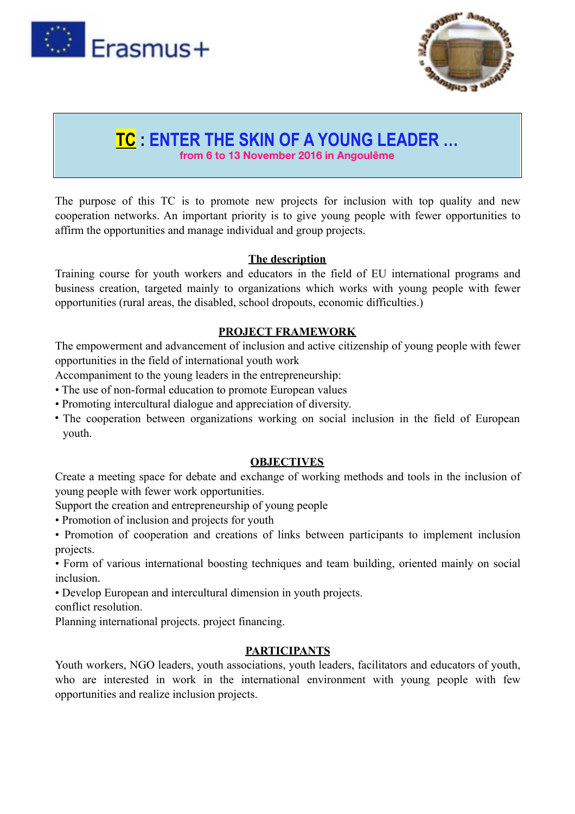



## **TC : ENTER THE SKIN OF A YOUNG LEADER … from 6 to 13 November 2016 in Angoulême**

The purpose of this TC is to promote new projects for inclusion with top quality and new cooperation networks. An important priority is to give young people with fewer opportunities to affirm the opportunities and manage individual and group projects.

#### **The description**

Training course for youth workers and educators in the field of EU international programs and business creation, targeted mainly to organizations which works with young people with fewer opportunities (rural areas, the disabled, school dropouts, economic difficulties.)

#### **PROJECT FRAMEWORK**

The empowerment and advancement of inclusion and active citizenship of young people with fewer opportunities in the field of international youth work

Accompaniment to the young leaders in the entrepreneurship:

- The use of non-formal education to promote European values
- Promoting intercultural dialogue and appreciation of diversity.
- The cooperation between organizations working on social inclusion in the field of European youth.

#### **OBJECTIVES**

Create a meeting space for debate and exchange of working methods and tools in the inclusion of young people with fewer work opportunities.

- Support the creation and entrepreneurship of young people
- Promotion of inclusion and projects for youth
- Promotion of cooperation and creations of links between participants to implement inclusion projects.

• Form of various international boosting techniques and team building, oriented mainly on social inclusion.

• Develop European and intercultural dimension in youth projects.

conflict resolution.

Planning international projects. project financing.

### **PARTICIPANTS**

Youth workers, NGO leaders, youth associations, youth leaders, facilitators and educators of youth, who are interested in work in the international environment with young people with few opportunities and realize inclusion projects.